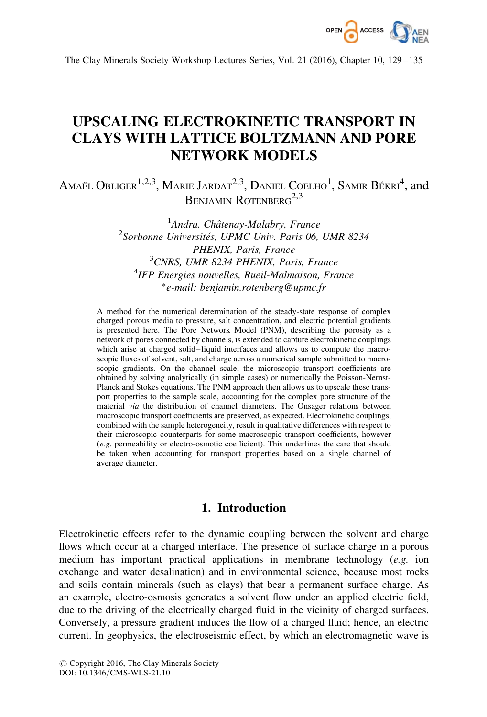

The Clay Minerals Society Workshop Lectures Series, Vol. 21 (2016), Chapter 10, 129–135

# UPSCALING ELECTROKINETIC TRANSPORT IN CLAYS WITH LATTICE BOLTZMANN AND PORE NETWORK MODELS

Amaël Obliger $^{1,2,3}$ , Marie Jardat $^{2,3}$ , Daniel Coelho $^{1}$ , Samir Békri $^{4}$ , and BENJAMIN ROTENBERG<sup>2,3</sup>

> <sup>1</sup>Andra, Châtenay-Malabry, France  $2$ Sorbonne Universités, UPMC Univ. Paris 06, UMR 8234 PHENIX, Paris, France <sup>3</sup>CNRS, UMR 8234 PHENIX, Paris, France 4 IFP Energies nouvelles, Rueil-Malmaison, France -e-mail: benjamin.rotenberg@upmc.fr

A method for the numerical determination of the steady-state response of complex charged porous media to pressure, salt concentration, and electric potential gradients is presented here. The Pore Network Model (PNM), describing the porosity as a network of pores connected by channels, is extended to capture electrokinetic couplings which arise at charged solid–liquid interfaces and allows us to compute the macroscopic fluxes of solvent, salt, and charge across a numerical sample submitted to macroscopic gradients. On the channel scale, the microscopic transport coefficients are obtained by solving analytically (in simple cases) or numerically the Poisson-Nernst-Planck and Stokes equations. The PNM approach then allows us to upscale these transport properties to the sample scale, accounting for the complex pore structure of the material via the distribution of channel diameters. The Onsager relations between macroscopic transport coefficients are preserved, as expected. Electrokinetic couplings, combined with the sample heterogeneity, result in qualitative differences with respect to their microscopic counterparts for some macroscopic transport coefficients, however (e.g. permeability or electro-osmotic coefficient). This underlines the care that should be taken when accounting for transport properties based on a single channel of average diameter.

## 1. Introduction

Electrokinetic effects refer to the dynamic coupling between the solvent and charge flows which occur at a charged interface. The presence of surface charge in a porous medium has important practical applications in membrane technology (e.g. ion exchange and water desalination) and in environmental science, because most rocks and soils contain minerals (such as clays) that bear a permanent surface charge. As an example, electro-osmosis generates a solvent flow under an applied electric field, due to the driving of the electrically charged fluid in the vicinity of charged surfaces. Conversely, a pressure gradient induces the flow of a charged fluid; hence, an electric current. In geophysics, the electroseismic effect, by which an electromagnetic wave is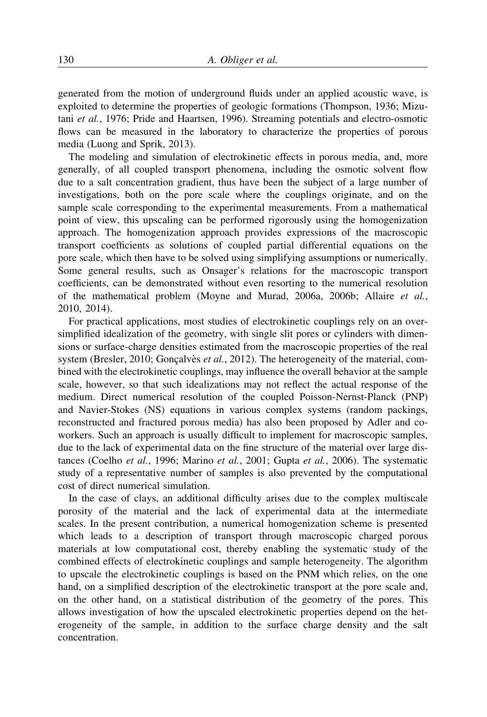generated from the motion of underground fluids under an applied acoustic wave, is exploited to determine the properties of geologic formations (Thompson, 1936; Mizutani et al., 1976; Pride and Haartsen, 1996). Streaming potentials and electro-osmotic flows can be measured in the laboratory to characterize the properties of porous media (Luong and Sprik, 2013).

The modeling and simulation of electrokinetic effects in porous media, and, more generally, of all coupled transport phenomena, including the osmotic solvent flow due to a salt concentration gradient, thus have been the subject of a large number of investigations, both on the pore scale where the couplings originate, and on the sample scale corresponding to the experimental measurements. From a mathematical point of view, this upscaling can be performed rigorously using the homogenization approach. The homogenization approach provides expressions of the macroscopic transport coefficients as solutions of coupled partial differential equations on the pore scale, which then have to be solved using simplifying assumptions or numerically. Some general results, such as Onsager's relations for the macroscopic transport coefficients, can be demonstrated without even resorting to the numerical resolution of the mathematical problem (Moyne and Murad, 2006a, 2006b; Allaire et al., 2010, 2014).

For practical applications, most studies of electrokinetic couplings rely on an oversimplified idealization of the geometry, with single slit pores or cylinders with dimensions or surface-charge densities estimated from the macroscopic properties of the real system (Bresler, 2010; Goncalvès *et al.*, 2012). The heterogeneity of the material, combined with the electrokinetic couplings, may influence the overall behavior at the sample scale, however, so that such idealizations may not reflect the actual response of the medium. Direct numerical resolution of the coupled Poisson-Nernst-Planck (PNP) and Navier-Stokes (NS) equations in various complex systems (random packings, reconstructed and fractured porous media) has also been proposed by Adler and coworkers. Such an approach is usually difficult to implement for macroscopic samples, due to the lack of experimental data on the fine structure of the material over large distances (Coelho et al., 1996; Marino et al., 2001; Gupta et al., 2006). The systematic study of a representative number of samples is also prevented by the computational cost of direct numerical simulation.

In the case of clays, an additional difficulty arises due to the complex multiscale porosity of the material and the lack of experimental data at the intermediate scales. In the present contribution, a numerical homogenization scheme is presented which leads to a description of transport through macroscopic charged porous materials at low computational cost, thereby enabling the systematic study of the combined effects of electrokinetic couplings and sample heterogeneity. The algorithm to upscale the electrokinetic couplings is based on the PNM which relies, on the one hand, on a simplified description of the electrokinetic transport at the pore scale and, on the other hand, on a statistical distribution of the geometry of the pores. This allows investigation of how the upscaled electrokinetic properties depend on the heterogeneity of the sample, in addition to the surface charge density and the salt concentration.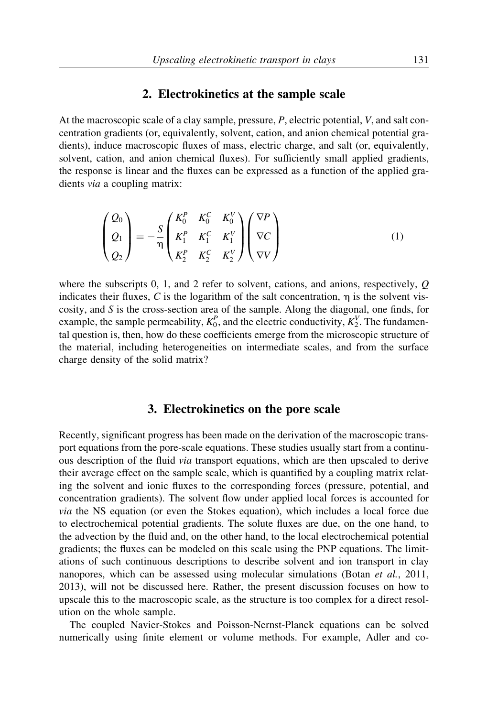#### 2. Electrokinetics at the sample scale

At the macroscopic scale of a clay sample, pressure, P, electric potential, V, and salt concentration gradients (or, equivalently, solvent, cation, and anion chemical potential gradients), induce macroscopic fluxes of mass, electric charge, and salt (or, equivalently, solvent, cation, and anion chemical fluxes). For sufficiently small applied gradients, the response is linear and the fluxes can be expressed as a function of the applied gradients via a coupling matrix:

$$
\begin{pmatrix} Q_0 \\ Q_1 \\ Q_2 \end{pmatrix} = -\frac{S}{\eta} \begin{pmatrix} K_0^P & K_0^C & K_0^V \\ K_1^P & K_1^C & K_1^V \\ K_2^P & K_2^C & K_2^V \end{pmatrix} \begin{pmatrix} \nabla P \\ \nabla C \\ \nabla V \end{pmatrix}
$$
(1)

where the subscripts 0, 1, and 2 refer to solvent, cations, and anions, respectively, Q indicates their fluxes, C is the logarithm of the salt concentration,  $\eta$  is the solvent viscosity, and  $S$  is the cross-section area of the sample. Along the diagonal, one finds, for example, the sample permeability,  $K_0^P$ , and the electric conductivity,  $K_2^V$ . The fundamental question is, then, how do these coefficients emerge from the microscopic structure of the material, including heterogeneities on intermediate scales, and from the surface charge density of the solid matrix?

#### 3. Electrokinetics on the pore scale

Recently, significant progress has been made on the derivation of the macroscopic transport equations from the pore-scale equations. These studies usually start from a continuous description of the fluid via transport equations, which are then upscaled to derive their average effect on the sample scale, which is quantified by a coupling matrix relating the solvent and ionic fluxes to the corresponding forces (pressure, potential, and concentration gradients). The solvent flow under applied local forces is accounted for via the NS equation (or even the Stokes equation), which includes a local force due to electrochemical potential gradients. The solute fluxes are due, on the one hand, to the advection by the fluid and, on the other hand, to the local electrochemical potential gradients; the fluxes can be modeled on this scale using the PNP equations. The limitations of such continuous descriptions to describe solvent and ion transport in clay nanopores, which can be assessed using molecular simulations (Botan et al., 2011, 2013), will not be discussed here. Rather, the present discussion focuses on how to upscale this to the macroscopic scale, as the structure is too complex for a direct resolution on the whole sample.

The coupled Navier-Stokes and Poisson-Nernst-Planck equations can be solved numerically using finite element or volume methods. For example, Adler and co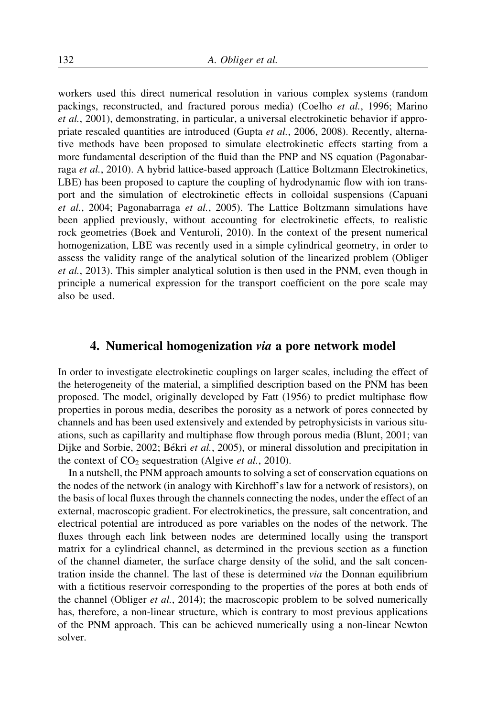workers used this direct numerical resolution in various complex systems (random packings, reconstructed, and fractured porous media) (Coelho et al., 1996; Marino et al., 2001), demonstrating, in particular, a universal electrokinetic behavior if appropriate rescaled quantities are introduced (Gupta et al., 2006, 2008). Recently, alternative methods have been proposed to simulate electrokinetic effects starting from a more fundamental description of the fluid than the PNP and NS equation (Pagonabarraga et al., 2010). A hybrid lattice-based approach (Lattice Boltzmann Electrokinetics, LBE) has been proposed to capture the coupling of hydrodynamic flow with ion transport and the simulation of electrokinetic effects in colloidal suspensions (Capuani et al., 2004; Pagonabarraga et al., 2005). The Lattice Boltzmann simulations have been applied previously, without accounting for electrokinetic effects, to realistic rock geometries (Boek and Venturoli, 2010). In the context of the present numerical homogenization, LBE was recently used in a simple cylindrical geometry, in order to assess the validity range of the analytical solution of the linearized problem (Obliger et al., 2013). This simpler analytical solution is then used in the PNM, even though in principle a numerical expression for the transport coefficient on the pore scale may also be used.

## 4. Numerical homogenization via a pore network model

In order to investigate electrokinetic couplings on larger scales, including the effect of the heterogeneity of the material, a simplified description based on the PNM has been proposed. The model, originally developed by Fatt (1956) to predict multiphase flow properties in porous media, describes the porosity as a network of pores connected by channels and has been used extensively and extended by petrophysicists in various situations, such as capillarity and multiphase flow through porous media (Blunt, 2001; van Dijke and Sorbie, 2002; Békri *et al.*, 2005), or mineral dissolution and precipitation in the context of  $CO<sub>2</sub>$  sequestration (Algive *et al.*, 2010).

In a nutshell, the PNM approach amounts to solving a set of conservation equations on the nodes of the network (in analogy with Kirchhoff's law for a network of resistors), on the basis of local fluxes through the channels connecting the nodes, under the effect of an external, macroscopic gradient. For electrokinetics, the pressure, salt concentration, and electrical potential are introduced as pore variables on the nodes of the network. The fluxes through each link between nodes are determined locally using the transport matrix for a cylindrical channel, as determined in the previous section as a function of the channel diameter, the surface charge density of the solid, and the salt concentration inside the channel. The last of these is determined via the Donnan equilibrium with a fictitious reservoir corresponding to the properties of the pores at both ends of the channel (Obliger *et al.*, 2014); the macroscopic problem to be solved numerically has, therefore, a non-linear structure, which is contrary to most previous applications of the PNM approach. This can be achieved numerically using a non-linear Newton solver.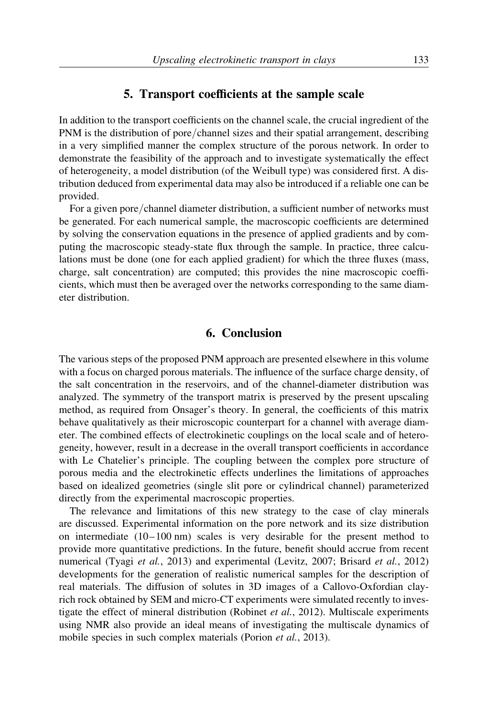#### 5. Transport coefficients at the sample scale

In addition to the transport coefficients on the channel scale, the crucial ingredient of the PNM is the distribution of pore/channel sizes and their spatial arrangement, describing in a very simplified manner the complex structure of the porous network. In order to demonstrate the feasibility of the approach and to investigate systematically the effect of heterogeneity, a model distribution (of the Weibull type) was considered first. A distribution deduced from experimental data may also be introduced if a reliable one can be provided.

For a given pore/channel diameter distribution, a sufficient number of networks must be generated. For each numerical sample, the macroscopic coefficients are determined by solving the conservation equations in the presence of applied gradients and by computing the macroscopic steady-state flux through the sample. In practice, three calculations must be done (one for each applied gradient) for which the three fluxes (mass, charge, salt concentration) are computed; this provides the nine macroscopic coefficients, which must then be averaged over the networks corresponding to the same diameter distribution.

#### 6. Conclusion

The various steps of the proposed PNM approach are presented elsewhere in this volume with a focus on charged porous materials. The influence of the surface charge density, of the salt concentration in the reservoirs, and of the channel-diameter distribution was analyzed. The symmetry of the transport matrix is preserved by the present upscaling method, as required from Onsager's theory. In general, the coefficients of this matrix behave qualitatively as their microscopic counterpart for a channel with average diameter. The combined effects of electrokinetic couplings on the local scale and of heterogeneity, however, result in a decrease in the overall transport coefficients in accordance with Le Chatelier's principle. The coupling between the complex pore structure of porous media and the electrokinetic effects underlines the limitations of approaches based on idealized geometries (single slit pore or cylindrical channel) parameterized directly from the experimental macroscopic properties.

The relevance and limitations of this new strategy to the case of clay minerals are discussed. Experimental information on the pore network and its size distribution on intermediate  $(10-100 \text{ nm})$  scales is very desirable for the present method to provide more quantitative predictions. In the future, benefit should accrue from recent numerical (Tyagi et al., 2013) and experimental (Levitz, 2007; Brisard et al., 2012) developments for the generation of realistic numerical samples for the description of real materials. The diffusion of solutes in 3D images of a Callovo-Oxfordian clayrich rock obtained by SEM and micro-CT experiments were simulated recently to investigate the effect of mineral distribution (Robinet et al., 2012). Multiscale experiments using NMR also provide an ideal means of investigating the multiscale dynamics of mobile species in such complex materials (Porion *et al.*, 2013).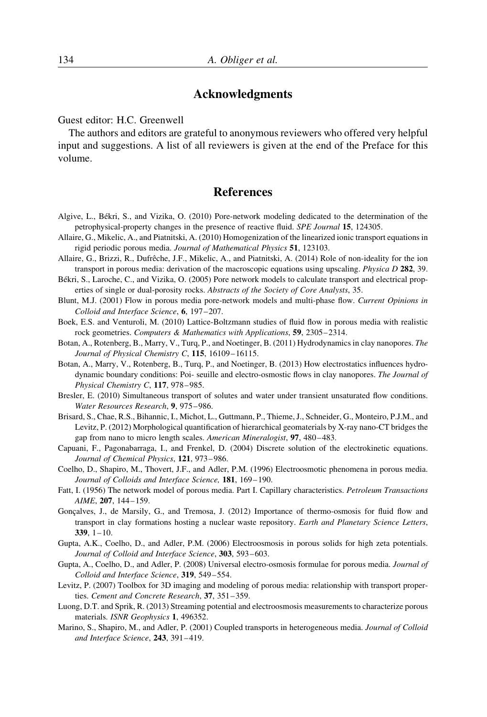## Acknowledgments

Guest editor: H.C. Greenwell

The authors and editors are grateful to anonymous reviewers who offered very helpful input and suggestions. A list of all reviewers is given at the end of the Preface for this volume.

## References

- Algive, L., Be´kri, S., and Vizika, O. (2010) Pore-network modeling dedicated to the determination of the petrophysical-property changes in the presence of reactive fluid. SPE Journal 15, 124305.
- Allaire, G., Mikelic, A., and Piatnitski, A. (2010) Homogenization of the linearized ionic transport equations in rigid periodic porous media. Journal of Mathematical Physics 51, 123103.
- Allaire, G., Brizzi, R., Dufrêche, J.F., Mikelic, A., and Piatnitski, A. (2014) Role of non-ideality for the ion transport in porous media: derivation of the macroscopic equations using upscaling. Physica D 282, 39.
- Békri, S., Laroche, C., and Vizika, O. (2005) Pore network models to calculate transport and electrical properties of single or dual-porosity rocks. Abstracts of the Society of Core Analysts, 35.
- Blunt, M.J. (2001) Flow in porous media pore-network models and multi-phase flow. Current Opinions in Colloid and Interface Science, 6, 197–207.
- Boek, E.S. and Venturoli, M. (2010) Lattice-Boltzmann studies of fluid flow in porous media with realistic rock geometries. Computers & Mathematics with Applications, 59, 2305–2314.
- Botan, A., Rotenberg, B., Marry, V., Turq, P., and Noetinger, B. (2011) Hydrodynamics in clay nanopores. The Journal of Physical Chemistry C, 115, 16109–16115.
- Botan, A., Marry, V., Rotenberg, B., Turq, P., and Noetinger, B. (2013) How electrostatics influences hydrodynamic boundary conditions: Poi- seuille and electro-osmostic flows in clay nanopores. The Journal of Physical Chemistry C, 117, 978–985.
- Bresler, E. (2010) Simultaneous transport of solutes and water under transient unsaturated flow conditions. Water Resources Research, 9, 975–986.
- Brisard, S., Chae, R.S., Bihannic, I., Michot, L., Guttmann, P., Thieme, J., Schneider, G., Monteiro, P.J.M., and Levitz, P. (2012) Morphological quantification of hierarchical geomaterials by X-ray nano-CT bridges the gap from nano to micro length scales. American Mineralogist, 97, 480–483.
- Capuani, F., Pagonabarraga, I., and Frenkel, D. (2004) Discrete solution of the electrokinetic equations. Journal of Chemical Physics, 121, 973–986.
- Coelho, D., Shapiro, M., Thovert, J.F., and Adler, P.M. (1996) Electroosmotic phenomena in porous media. Journal of Colloids and Interface Science, 181, 169–190.
- Fatt, I. (1956) The network model of porous media. Part I. Capillary characteristics. Petroleum Transactions AIME, 207, 144–159.
- Goncalves, J., de Marsily, G., and Tremosa, J. (2012) Importance of thermo-osmosis for fluid flow and transport in clay formations hosting a nuclear waste repository. Earth and Planetary Science Letters,  $339, 1 - 10.$
- Gupta, A.K., Coelho, D., and Adler, P.M. (2006) Electroosmosis in porous solids for high zeta potentials. Journal of Colloid and Interface Science, 303, 593-603.
- Gupta, A., Coelho, D., and Adler, P. (2008) Universal electro-osmosis formulae for porous media. Journal of Colloid and Interface Science, 319, 549–554.
- Levitz, P. (2007) Toolbox for 3D imaging and modeling of porous media: relationship with transport properties. Cement and Concrete Research, 37, 351–359.
- Luong, D.T. and Sprik, R. (2013) Streaming potential and electroosmosis measurements to characterize porous materials. ISNR Geophysics 1, 496352.
- Marino, S., Shapiro, M., and Adler, P. (2001) Coupled transports in heterogeneous media. *Journal of Colloid* and Interface Science, 243, 391–419.